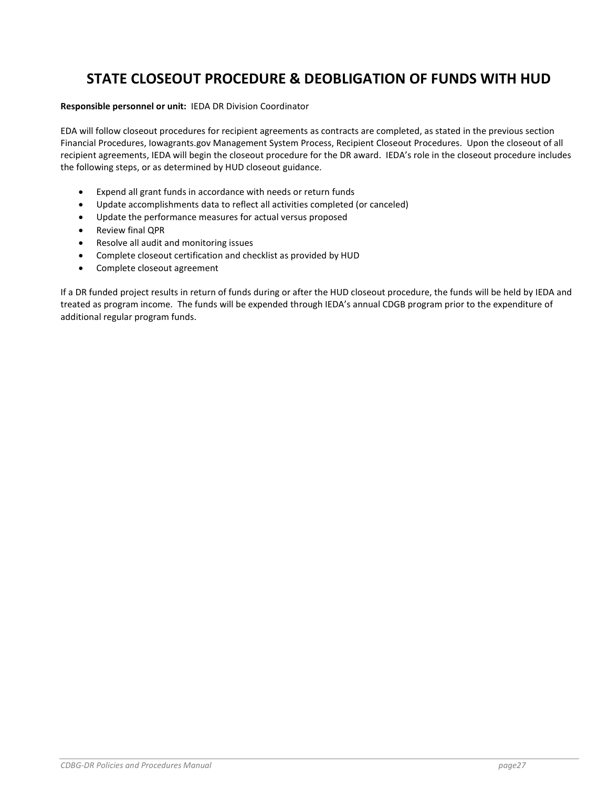# STATE CLOSEOUT PROCEDURE & DEOBLIGATION OF FUNDS WITH HUD

#### Responsible personnel or unit: IEDA DR Division Coordinator

EDA will follow closeout procedures for recipient agreements as contracts are completed, as stated in the previous section Financial Procedures, Iowagrants.gov Management System Process, Recipient Closeout Procedures. Upon the closeout of all recipient agreements, IEDA will begin the closeout procedure for the DR award. IEDA's role in the closeout procedure includes the following steps, or as determined by HUD closeout guidance.

- Expend all grant funds in accordance with needs or return funds
- Update accomplishments data to reflect all activities completed (or canceled)
- Update the performance measures for actual versus proposed
- Review final QPR
- Resolve all audit and monitoring issues
- Complete closeout certification and checklist as provided by HUD
- Complete closeout agreement

If a DR funded project results in return of funds during or after the HUD closeout procedure, the funds will be held by IEDA and treated as program income. The funds will be expended through IEDA's annual CDGB program prior to the expenditure of additional regular program funds.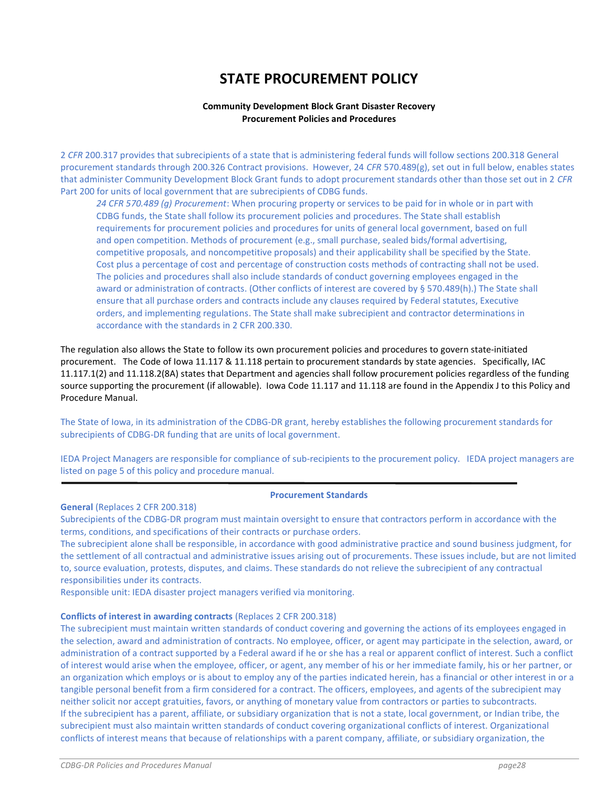# STATE PROCUREMENT POLICY

#### Community Development Block Grant Disaster Recovery Procurement Policies and Procedures

2 CFR 200.317 provides that subrecipients of a state that is administering federal funds will follow sections 200.318 General procurement standards through 200.326 Contract provisions. However, 24 CFR 570.489(g), set out in full below, enables states that administer Community Development Block Grant funds to adopt procurement standards other than those set out in 2 CFR Part 200 for units of local government that are subrecipients of CDBG funds.

24 CFR 570.489 (g) Procurement: When procuring property or services to be paid for in whole or in part with CDBG funds, the State shall follow its procurement policies and procedures. The State shall establish requirements for procurement policies and procedures for units of general local government, based on full and open competition. Methods of procurement (e.g., small purchase, sealed bids/formal advertising, competitive proposals, and noncompetitive proposals) and their applicability shall be specified by the State. Cost plus a percentage of cost and percentage of construction costs methods of contracting shall not be used. The policies and procedures shall also include standards of conduct governing employees engaged in the award or administration of contracts. (Other conflicts of interest are covered by § 570.489(h).) The State shall ensure that all purchase orders and contracts include any clauses required by Federal statutes, Executive orders, and implementing regulations. The State shall make subrecipient and contractor determinations in accordance with the standards in 2 CFR 200.330.

The regulation also allows the State to follow its own procurement policies and procedures to govern state-initiated procurement. The Code of Iowa 11.117 & 11.118 pertain to procurement standards by state agencies. Specifically, IAC 11.117.1(2) and 11.118.2(8A) states that Department and agencies shall follow procurement policies regardless of the funding source supporting the procurement (if allowable). Iowa Code 11.117 and 11.118 are found in the Appendix J to this Policy and Procedure Manual.

The State of Iowa, in its administration of the CDBG-DR grant, hereby establishes the following procurement standards for subrecipients of CDBG-DR funding that are units of local government.

IEDA Project Managers are responsible for compliance of sub-recipients to the procurement policy. IEDA project managers are listed on page 5 of this policy and procedure manual.

#### Procurement Standards

#### General (Replaces 2 CFR 200.318)

Subrecipients of the CDBG-DR program must maintain oversight to ensure that contractors perform in accordance with the terms, conditions, and specifications of their contracts or purchase orders.

The subrecipient alone shall be responsible, in accordance with good administrative practice and sound business judgment, for the settlement of all contractual and administrative issues arising out of procurements. These issues include, but are not limited to, source evaluation, protests, disputes, and claims. These standards do not relieve the subrecipient of any contractual responsibilities under its contracts.

Responsible unit: IEDA disaster project managers verified via monitoring.

#### Conflicts of interest in awarding contracts (Replaces 2 CFR 200.318)

The subrecipient must maintain written standards of conduct covering and governing the actions of its employees engaged in the selection, award and administration of contracts. No employee, officer, or agent may participate in the selection, award, or administration of a contract supported by a Federal award if he or she has a real or apparent conflict of interest. Such a conflict of interest would arise when the employee, officer, or agent, any member of his or her immediate family, his or her partner, or an organization which employs or is about to employ any of the parties indicated herein, has a financial or other interest in or a tangible personal benefit from a firm considered for a contract. The officers, employees, and agents of the subrecipient may neither solicit nor accept gratuities, favors, or anything of monetary value from contractors or parties to subcontracts. If the subrecipient has a parent, affiliate, or subsidiary organization that is not a state, local government, or Indian tribe, the subrecipient must also maintain written standards of conduct covering organizational conflicts of interest. Organizational conflicts of interest means that because of relationships with a parent company, affiliate, or subsidiary organization, the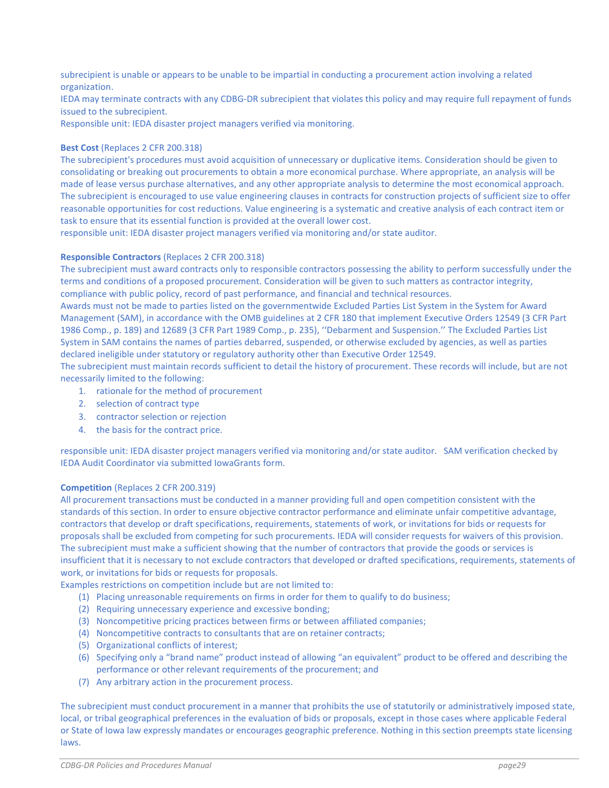subrecipient is unable or appears to be unable to be impartial in conducting a procurement action involving a related organization.

IEDA may terminate contracts with any CDBG-DR subrecipient that violates this policy and may require full repayment of funds issued to the subrecipient.

Responsible unit: IEDA disaster project managers verified via monitoring.

#### Best Cost (Replaces 2 CFR 200.318)

The subrecipient's procedures must avoid acquisition of unnecessary or duplicative items. Consideration should be given to consolidating or breaking out procurements to obtain a more economical purchase. Where appropriate, an analysis will be made of lease versus purchase alternatives, and any other appropriate analysis to determine the most economical approach. The subrecipient is encouraged to use value engineering clauses in contracts for construction projects of sufficient size to offer reasonable opportunities for cost reductions. Value engineering is a systematic and creative analysis of each contract item or task to ensure that its essential function is provided at the overall lower cost.

responsible unit: IEDA disaster project managers verified via monitoring and/or state auditor.

#### Responsible Contractors (Replaces 2 CFR 200.318)

The subrecipient must award contracts only to responsible contractors possessing the ability to perform successfully under the terms and conditions of a proposed procurement. Consideration will be given to such matters as contractor integrity, compliance with public policy, record of past performance, and financial and technical resources.

Awards must not be made to parties listed on the governmentwide Excluded Parties List System in the System for Award Management (SAM), in accordance with the OMB guidelines at 2 CFR 180 that implement Executive Orders 12549 (3 CFR Part 1986 Comp., p. 189) and 12689 (3 CFR Part 1989 Comp., p. 235), ''Debarment and Suspension.'' The Excluded Parties List System in SAM contains the names of parties debarred, suspended, or otherwise excluded by agencies, as well as parties declared ineligible under statutory or regulatory authority other than Executive Order 12549.

The subrecipient must maintain records sufficient to detail the history of procurement. These records will include, but are not necessarily limited to the following:

- 1. rationale for the method of procurement
- 2. selection of contract type
- 3. contractor selection or rejection
- 4. the basis for the contract price.

responsible unit: IEDA disaster project managers verified via monitoring and/or state auditor. SAM verification checked by IEDA Audit Coordinator via submitted IowaGrants form.

#### Competition (Replaces 2 CFR 200.319)

All procurement transactions must be conducted in a manner providing full and open competition consistent with the standards of this section. In order to ensure objective contractor performance and eliminate unfair competitive advantage, contractors that develop or draft specifications, requirements, statements of work, or invitations for bids or requests for proposals shall be excluded from competing for such procurements. IEDA will consider requests for waivers of this provision. The subrecipient must make a sufficient showing that the number of contractors that provide the goods or services is insufficient that it is necessary to not exclude contractors that developed or drafted specifications, requirements, statements of work, or invitations for bids or requests for proposals.

Examples restrictions on competition include but are not limited to:

- (1) Placing unreasonable requirements on firms in order for them to qualify to do business;
- (2) Requiring unnecessary experience and excessive bonding;
- (3) Noncompetitive pricing practices between firms or between affiliated companies;
- (4) Noncompetitive contracts to consultants that are on retainer contracts;
- (5) Organizational conflicts of interest;
- (6) Specifying only a "brand name" product instead of allowing "an equivalent" product to be offered and describing the performance or other relevant requirements of the procurement; and
- (7) Any arbitrary action in the procurement process.

The subrecipient must conduct procurement in a manner that prohibits the use of statutorily or administratively imposed state, local, or tribal geographical preferences in the evaluation of bids or proposals, except in those cases where applicable Federal or State of Iowa law expressly mandates or encourages geographic preference. Nothing in this section preempts state licensing laws.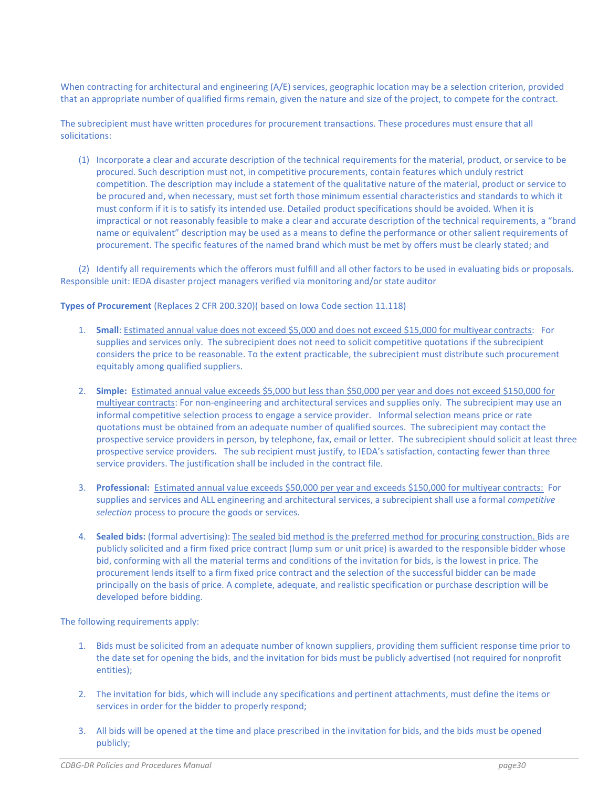When contracting for architectural and engineering (A/E) services, geographic location may be a selection criterion, provided that an appropriate number of qualified firms remain, given the nature and size of the project, to compete for the contract.

The subrecipient must have written procedures for procurement transactions. These procedures must ensure that all solicitations:

(1) Incorporate a clear and accurate description of the technical requirements for the material, product, or service to be procured. Such description must not, in competitive procurements, contain features which unduly restrict competition. The description may include a statement of the qualitative nature of the material, product or service to be procured and, when necessary, must set forth those minimum essential characteristics and standards to which it must conform if it is to satisfy its intended use. Detailed product specifications should be avoided. When it is impractical or not reasonably feasible to make a clear and accurate description of the technical requirements, a "brand name or equivalent" description may be used as a means to define the performance or other salient requirements of procurement. The specific features of the named brand which must be met by offers must be clearly stated; and

(2) Identify all requirements which the offerors must fulfill and all other factors to be used in evaluating bids or proposals. Responsible unit: IEDA disaster project managers verified via monitoring and/or state auditor

Types of Procurement (Replaces 2 CFR 200.320)( based on Iowa Code section 11.118)

- 1. Small: Estimated annual value does not exceed \$5,000 and does not exceed \$15,000 for multiyear contracts: For supplies and services only. The subrecipient does not need to solicit competitive quotations if the subrecipient considers the price to be reasonable. To the extent practicable, the subrecipient must distribute such procurement equitably among qualified suppliers.
- 2. Simple: Estimated annual value exceeds \$5,000 but less than \$50,000 per year and does not exceed \$150,000 for multiyear contracts: For non-engineering and architectural services and supplies only. The subrecipient may use an informal competitive selection process to engage a service provider. Informal selection means price or rate quotations must be obtained from an adequate number of qualified sources. The subrecipient may contact the prospective service providers in person, by telephone, fax, email or letter. The subrecipient should solicit at least three prospective service providers. The sub recipient must justify, to IEDA's satisfaction, contacting fewer than three service providers. The justification shall be included in the contract file.
- 3. Professional: Estimated annual value exceeds \$50,000 per year and exceeds \$150,000 for multiyear contracts: For supplies and services and ALL engineering and architectural services, a subrecipient shall use a formal *competitive* selection process to procure the goods or services.
- 4. Sealed bids: (formal advertising): The sealed bid method is the preferred method for procuring construction. Bids are publicly solicited and a firm fixed price contract (lump sum or unit price) is awarded to the responsible bidder whose bid, conforming with all the material terms and conditions of the invitation for bids, is the lowest in price. The procurement lends itself to a firm fixed price contract and the selection of the successful bidder can be made principally on the basis of price. A complete, adequate, and realistic specification or purchase description will be developed before bidding.

The following requirements apply:

- 1. Bids must be solicited from an adequate number of known suppliers, providing them sufficient response time prior to the date set for opening the bids, and the invitation for bids must be publicly advertised (not required for nonprofit entities);
- 2. The invitation for bids, which will include any specifications and pertinent attachments, must define the items or services in order for the bidder to properly respond;
- 3. All bids will be opened at the time and place prescribed in the invitation for bids, and the bids must be opened publicly;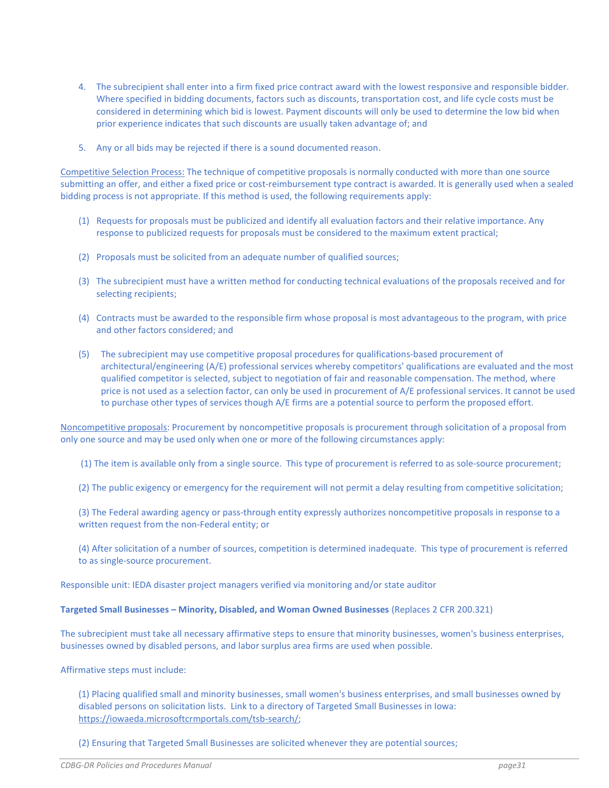- 4. The subrecipient shall enter into a firm fixed price contract award with the lowest responsive and responsible bidder. Where specified in bidding documents, factors such as discounts, transportation cost, and life cycle costs must be considered in determining which bid is lowest. Payment discounts will only be used to determine the low bid when prior experience indicates that such discounts are usually taken advantage of; and
- 5. Any or all bids may be rejected if there is a sound documented reason.

Competitive Selection Process: The technique of competitive proposals is normally conducted with more than one source submitting an offer, and either a fixed price or cost-reimbursement type contract is awarded. It is generally used when a sealed bidding process is not appropriate. If this method is used, the following requirements apply:

- (1) Requests for proposals must be publicized and identify all evaluation factors and their relative importance. Any response to publicized requests for proposals must be considered to the maximum extent practical;
- (2) Proposals must be solicited from an adequate number of qualified sources;
- (3) The subrecipient must have a written method for conducting technical evaluations of the proposals received and for selecting recipients;
- (4) Contracts must be awarded to the responsible firm whose proposal is most advantageous to the program, with price and other factors considered; and
- (5) The subrecipient may use competitive proposal procedures for qualifications-based procurement of architectural/engineering (A/E) professional services whereby competitors' qualifications are evaluated and the most qualified competitor is selected, subject to negotiation of fair and reasonable compensation. The method, where price is not used as a selection factor, can only be used in procurement of A/E professional services. It cannot be used to purchase other types of services though A/E firms are a potential source to perform the proposed effort.

Noncompetitive proposals: Procurement by noncompetitive proposals is procurement through solicitation of a proposal from only one source and may be used only when one or more of the following circumstances apply:

(1) The item is available only from a single source. This type of procurement is referred to as sole-source procurement;

- (2) The public exigency or emergency for the requirement will not permit a delay resulting from competitive solicitation;
- (3) The Federal awarding agency or pass-through entity expressly authorizes noncompetitive proposals in response to a written request from the non-Federal entity; or

(4) After solicitation of a number of sources, competition is determined inadequate. This type of procurement is referred to as single-source procurement.

Responsible unit: IEDA disaster project managers verified via monitoring and/or state auditor

#### Targeted Small Businesses – Minority, Disabled, and Woman Owned Businesses (Replaces 2 CFR 200.321)

The subrecipient must take all necessary affirmative steps to ensure that minority businesses, women's business enterprises, businesses owned by disabled persons, and labor surplus area firms are used when possible.

Affirmative steps must include:

(1) Placing qualified small and minority businesses, small women's business enterprises, and small businesses owned by disabled persons on solicitation lists. Link to a directory of Targeted Small Businesses in Iowa: https://iowaeda.microsoftcrmportals.com/tsb-search/;

(2) Ensuring that Targeted Small Businesses are solicited whenever they are potential sources;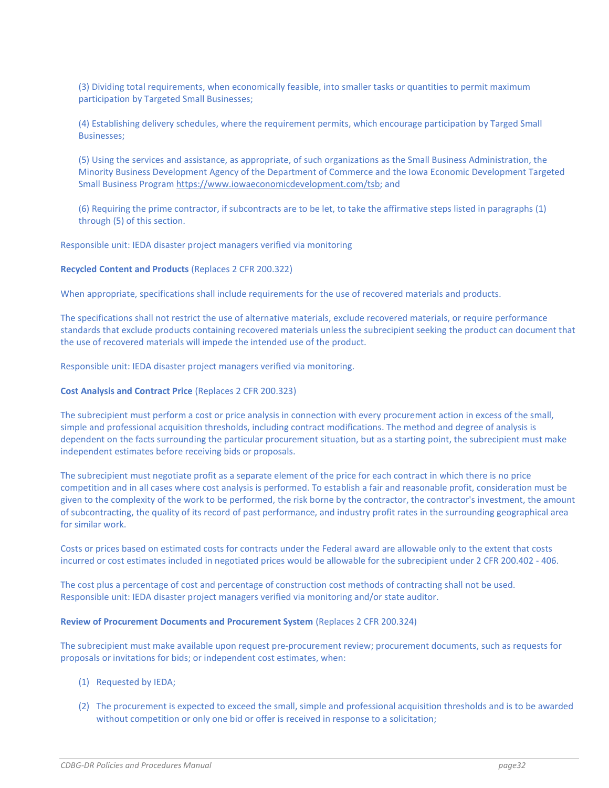(3) Dividing total requirements, when economically feasible, into smaller tasks or quantities to permit maximum participation by Targeted Small Businesses;

(4) Establishing delivery schedules, where the requirement permits, which encourage participation by Targed Small Businesses;

(5) Using the services and assistance, as appropriate, of such organizations as the Small Business Administration, the Minority Business Development Agency of the Department of Commerce and the Iowa Economic Development Targeted Small Business Program https://www.iowaeconomicdevelopment.com/tsb; and

(6) Requiring the prime contractor, if subcontracts are to be let, to take the affirmative steps listed in paragraphs (1) through (5) of this section.

Responsible unit: IEDA disaster project managers verified via monitoring

#### Recycled Content and Products (Replaces 2 CFR 200.322)

When appropriate, specifications shall include requirements for the use of recovered materials and products.

The specifications shall not restrict the use of alternative materials, exclude recovered materials, or require performance standards that exclude products containing recovered materials unless the subrecipient seeking the product can document that the use of recovered materials will impede the intended use of the product.

Responsible unit: IEDA disaster project managers verified via monitoring.

#### Cost Analysis and Contract Price (Replaces 2 CFR 200.323)

The subrecipient must perform a cost or price analysis in connection with every procurement action in excess of the small, simple and professional acquisition thresholds, including contract modifications. The method and degree of analysis is dependent on the facts surrounding the particular procurement situation, but as a starting point, the subrecipient must make independent estimates before receiving bids or proposals.

The subrecipient must negotiate profit as a separate element of the price for each contract in which there is no price competition and in all cases where cost analysis is performed. To establish a fair and reasonable profit, consideration must be given to the complexity of the work to be performed, the risk borne by the contractor, the contractor's investment, the amount of subcontracting, the quality of its record of past performance, and industry profit rates in the surrounding geographical area for similar work.

Costs or prices based on estimated costs for contracts under the Federal award are allowable only to the extent that costs incurred or cost estimates included in negotiated prices would be allowable for the subrecipient under 2 CFR 200.402 - 406.

The cost plus a percentage of cost and percentage of construction cost methods of contracting shall not be used. Responsible unit: IEDA disaster project managers verified via monitoring and/or state auditor.

#### Review of Procurement Documents and Procurement System (Replaces 2 CFR 200.324)

The subrecipient must make available upon request pre-procurement review; procurement documents, such as requests for proposals or invitations for bids; or independent cost estimates, when:

- (1) Requested by IEDA;
- (2) The procurement is expected to exceed the small, simple and professional acquisition thresholds and is to be awarded without competition or only one bid or offer is received in response to a solicitation;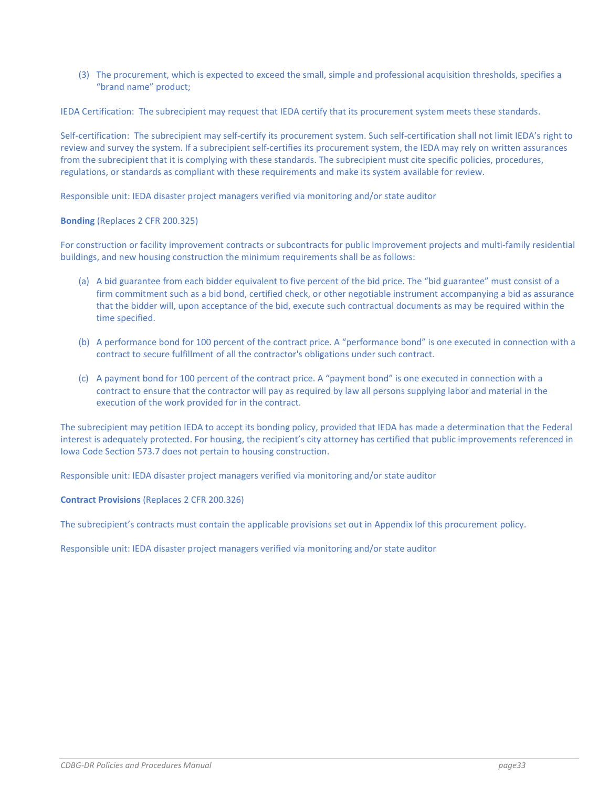(3) The procurement, which is expected to exceed the small, simple and professional acquisition thresholds, specifies a "brand name" product;

IEDA Certification: The subrecipient may request that IEDA certify that its procurement system meets these standards.

Self-certification: The subrecipient may self-certify its procurement system. Such self-certification shall not limit IEDA's right to review and survey the system. If a subrecipient self-certifies its procurement system, the IEDA may rely on written assurances from the subrecipient that it is complying with these standards. The subrecipient must cite specific policies, procedures, regulations, or standards as compliant with these requirements and make its system available for review.

Responsible unit: IEDA disaster project managers verified via monitoring and/or state auditor

#### Bonding (Replaces 2 CFR 200.325)

For construction or facility improvement contracts or subcontracts for public improvement projects and multi-family residential buildings, and new housing construction the minimum requirements shall be as follows:

- (a) A bid guarantee from each bidder equivalent to five percent of the bid price. The "bid guarantee" must consist of a firm commitment such as a bid bond, certified check, or other negotiable instrument accompanying a bid as assurance that the bidder will, upon acceptance of the bid, execute such contractual documents as may be required within the time specified.
- (b) A performance bond for 100 percent of the contract price. A "performance bond" is one executed in connection with a contract to secure fulfillment of all the contractor's obligations under such contract.
- (c) A payment bond for 100 percent of the contract price. A "payment bond" is one executed in connection with a contract to ensure that the contractor will pay as required by law all persons supplying labor and material in the execution of the work provided for in the contract.

The subrecipient may petition IEDA to accept its bonding policy, provided that IEDA has made a determination that the Federal interest is adequately protected. For housing, the recipient's city attorney has certified that public improvements referenced in Iowa Code Section 573.7 does not pertain to housing construction.

Responsible unit: IEDA disaster project managers verified via monitoring and/or state auditor

Contract Provisions (Replaces 2 CFR 200.326)

The subrecipient's contracts must contain the applicable provisions set out in Appendix Iof this procurement policy.

Responsible unit: IEDA disaster project managers verified via monitoring and/or state auditor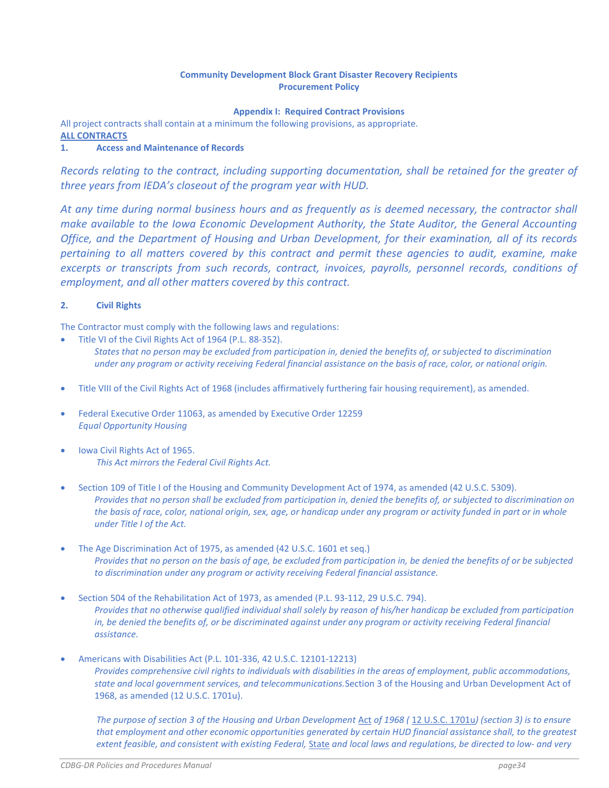#### Community Development Block Grant Disaster Recovery Recipients Procurement Policy

Appendix I: Required Contract Provisions

All project contracts shall contain at a minimum the following provisions, as appropriate. ALL CONTRACTS

### 1. Access and Maintenance of Records

Records relating to the contract, including supporting documentation, shall be retained for the greater of three years from IEDA's closeout of the program year with HUD.

At any time during normal business hours and as frequently as is deemed necessary, the contractor shall make available to the Iowa Economic Development Authority, the State Auditor, the General Accounting Office, and the Department of Housing and Urban Development, for their examination, all of its records pertaining to all matters covered by this contract and permit these agencies to audit, examine, make excerpts or transcripts from such records, contract, invoices, payrolls, personnel records, conditions of employment, and all other matters covered by this contract.

### 2. Civil Rights

The Contractor must comply with the following laws and regulations:

- Title VI of the Civil Rights Act of 1964 (P.L. 88-352). States that no person may be excluded from participation in, denied the benefits of, or subjected to discrimination under any program or activity receiving Federal financial assistance on the basis of race, color, or national origin.
- Title VIII of the Civil Rights Act of 1968 (includes affirmatively furthering fair housing requirement), as amended.
- Federal Executive Order 11063, as amended by Executive Order 12259 Equal Opportunity Housing
- Iowa Civil Rights Act of 1965. This Act mirrors the Federal Civil Rights Act.
- Section 109 of Title I of the Housing and Community Development Act of 1974, as amended (42 U.S.C. 5309). Provides that no person shall be excluded from participation in, denied the benefits of, or subjected to discrimination on the basis of race, color, national origin, sex, age, or handicap under any program or activity funded in part or in whole under Title I of the Act.
- The Age Discrimination Act of 1975, as amended (42 U.S.C. 1601 et seq.) Provides that no person on the basis of age, be excluded from participation in, be denied the benefits of or be subjected to discrimination under any program or activity receiving Federal financial assistance.
- Section 504 of the Rehabilitation Act of 1973, as amended (P.L. 93-112, 29 U.S.C. 794). Provides that no otherwise qualified individual shall solely by reason of his/her handicap be excluded from participation in, be denied the benefits of, or be discriminated against under any program or activity receiving Federal financial assistance.
- Americans with Disabilities Act (P.L. 101-336, 42 U.S.C. 12101-12213) Provides comprehensive civil rights to individuals with disabilities in the areas of employment, public accommodations, state and local government services, and telecommunications.Section 3 of the Housing and Urban Development Act of 1968, as amended (12 U.S.C. 1701u).

The purpose of section 3 of the Housing and Urban Development Act of 1968 ( 12 U.S.C. 1701u) (section 3) is to ensure that employment and other economic opportunities generated by certain HUD financial assistance shall, to the greatest extent feasible, and consistent with existing Federal, State and local laws and regulations, be directed to low- and very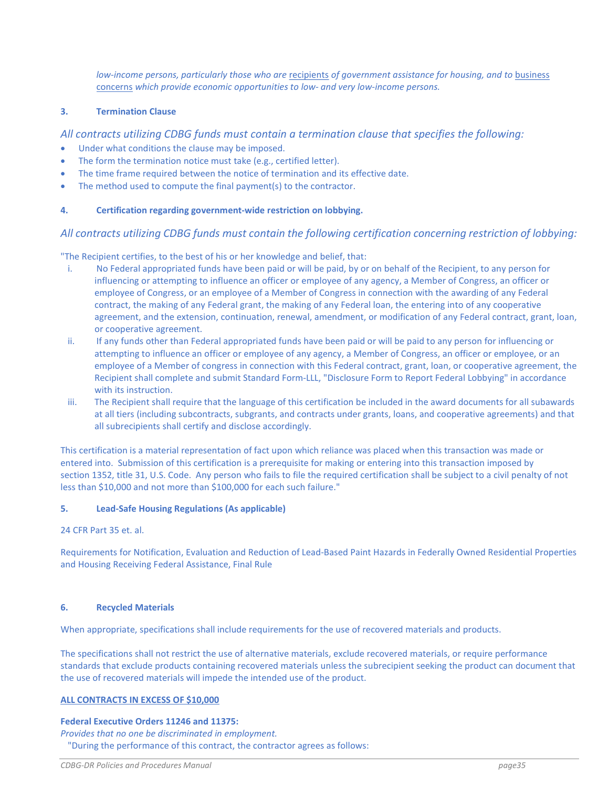low-income persons, particularly those who are recipients of government assistance for housing, and to business concerns which provide economic opportunities to low- and very low-income persons.

#### 3. Termination Clause

#### All contracts utilizing CDBG funds must contain a termination clause that specifies the following:

- Under what conditions the clause may be imposed.
- The form the termination notice must take (e.g., certified letter).
- The time frame required between the notice of termination and its effective date.
- The method used to compute the final payment(s) to the contractor.

#### 4. Certification regarding government-wide restriction on lobbying.

#### All contracts utilizing CDBG funds must contain the following certification concerning restriction of lobbying:

"The Recipient certifies, to the best of his or her knowledge and belief, that:

- i. No Federal appropriated funds have been paid or will be paid, by or on behalf of the Recipient, to any person for influencing or attempting to influence an officer or employee of any agency, a Member of Congress, an officer or employee of Congress, or an employee of a Member of Congress in connection with the awarding of any Federal contract, the making of any Federal grant, the making of any Federal loan, the entering into of any cooperative agreement, and the extension, continuation, renewal, amendment, or modification of any Federal contract, grant, loan, or cooperative agreement.
- ii. If any funds other than Federal appropriated funds have been paid or will be paid to any person for influencing or attempting to influence an officer or employee of any agency, a Member of Congress, an officer or employee, or an employee of a Member of congress in connection with this Federal contract, grant, loan, or cooperative agreement, the Recipient shall complete and submit Standard Form-LLL, "Disclosure Form to Report Federal Lobbying" in accordance with its instruction.
- iii. The Recipient shall require that the language of this certification be included in the award documents for all subawards at all tiers (including subcontracts, subgrants, and contracts under grants, loans, and cooperative agreements) and that all subrecipients shall certify and disclose accordingly.

This certification is a material representation of fact upon which reliance was placed when this transaction was made or entered into. Submission of this certification is a prerequisite for making or entering into this transaction imposed by section 1352, title 31, U.S. Code. Any person who fails to file the required certification shall be subject to a civil penalty of not less than \$10,000 and not more than \$100,000 for each such failure."

#### 5. Lead-Safe Housing Regulations (As applicable)

#### 24 CFR Part 35 et. al.

Requirements for Notification, Evaluation and Reduction of Lead-Based Paint Hazards in Federally Owned Residential Properties and Housing Receiving Federal Assistance, Final Rule

#### 6. Recycled Materials

When appropriate, specifications shall include requirements for the use of recovered materials and products.

The specifications shall not restrict the use of alternative materials, exclude recovered materials, or require performance standards that exclude products containing recovered materials unless the subrecipient seeking the product can document that the use of recovered materials will impede the intended use of the product.

#### ALL CONTRACTS IN EXCESS OF \$10,000

#### Federal Executive Orders 11246 and 11375:

Provides that no one be discriminated in employment. "During the performance of this contract, the contractor agrees as follows: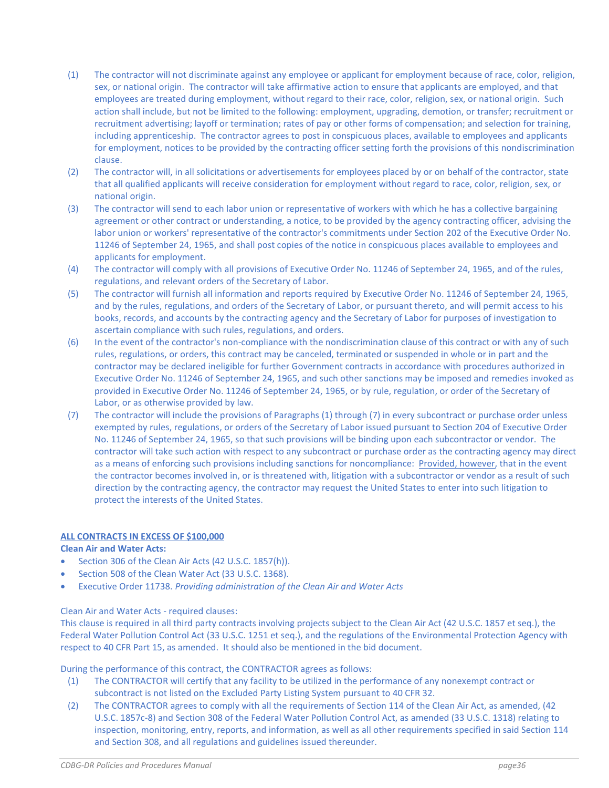- (1) The contractor will not discriminate against any employee or applicant for employment because of race, color, religion, sex, or national origin. The contractor will take affirmative action to ensure that applicants are employed, and that employees are treated during employment, without regard to their race, color, religion, sex, or national origin. Such action shall include, but not be limited to the following: employment, upgrading, demotion, or transfer; recruitment or recruitment advertising; layoff or termination; rates of pay or other forms of compensation; and selection for training, including apprenticeship. The contractor agrees to post in conspicuous places, available to employees and applicants for employment, notices to be provided by the contracting officer setting forth the provisions of this nondiscrimination clause.
- (2) The contractor will, in all solicitations or advertisements for employees placed by or on behalf of the contractor, state that all qualified applicants will receive consideration for employment without regard to race, color, religion, sex, or national origin.
- (3) The contractor will send to each labor union or representative of workers with which he has a collective bargaining agreement or other contract or understanding, a notice, to be provided by the agency contracting officer, advising the labor union or workers' representative of the contractor's commitments under Section 202 of the Executive Order No. 11246 of September 24, 1965, and shall post copies of the notice in conspicuous places available to employees and applicants for employment.
- (4) The contractor will comply with all provisions of Executive Order No. 11246 of September 24, 1965, and of the rules, regulations, and relevant orders of the Secretary of Labor.
- (5) The contractor will furnish all information and reports required by Executive Order No. 11246 of September 24, 1965, and by the rules, regulations, and orders of the Secretary of Labor, or pursuant thereto, and will permit access to his books, records, and accounts by the contracting agency and the Secretary of Labor for purposes of investigation to ascertain compliance with such rules, regulations, and orders.
- (6) In the event of the contractor's non-compliance with the nondiscrimination clause of this contract or with any of such rules, regulations, or orders, this contract may be canceled, terminated or suspended in whole or in part and the contractor may be declared ineligible for further Government contracts in accordance with procedures authorized in Executive Order No. 11246 of September 24, 1965, and such other sanctions may be imposed and remedies invoked as provided in Executive Order No. 11246 of September 24, 1965, or by rule, regulation, or order of the Secretary of Labor, or as otherwise provided by law.
- (7) The contractor will include the provisions of Paragraphs (1) through (7) in every subcontract or purchase order unless exempted by rules, regulations, or orders of the Secretary of Labor issued pursuant to Section 204 of Executive Order No. 11246 of September 24, 1965, so that such provisions will be binding upon each subcontractor or vendor. The contractor will take such action with respect to any subcontract or purchase order as the contracting agency may direct as a means of enforcing such provisions including sanctions for noncompliance: Provided, however, that in the event the contractor becomes involved in, or is threatened with, litigation with a subcontractor or vendor as a result of such direction by the contracting agency, the contractor may request the United States to enter into such litigation to protect the interests of the United States.

#### ALL CONTRACTS IN EXCESS OF \$100,000

#### Clean Air and Water Acts:

- Section 306 of the Clean Air Acts (42 U.S.C. 1857(h)).
- Section 508 of the Clean Water Act (33 U.S.C. 1368).
- Executive Order 11738. Providing administration of the Clean Air and Water Acts

#### Clean Air and Water Acts - required clauses:

This clause is required in all third party contracts involving projects subject to the Clean Air Act (42 U.S.C. 1857 et seq.), the Federal Water Pollution Control Act (33 U.S.C. 1251 et seq.), and the regulations of the Environmental Protection Agency with respect to 40 CFR Part 15, as amended. It should also be mentioned in the bid document.

During the performance of this contract, the CONTRACTOR agrees as follows:

- (1) The CONTRACTOR will certify that any facility to be utilized in the performance of any nonexempt contract or subcontract is not listed on the Excluded Party Listing System pursuant to 40 CFR 32.
- (2) The CONTRACTOR agrees to comply with all the requirements of Section 114 of the Clean Air Act, as amended, (42 U.S.C. 1857c-8) and Section 308 of the Federal Water Pollution Control Act, as amended (33 U.S.C. 1318) relating to inspection, monitoring, entry, reports, and information, as well as all other requirements specified in said Section 114 and Section 308, and all regulations and guidelines issued thereunder.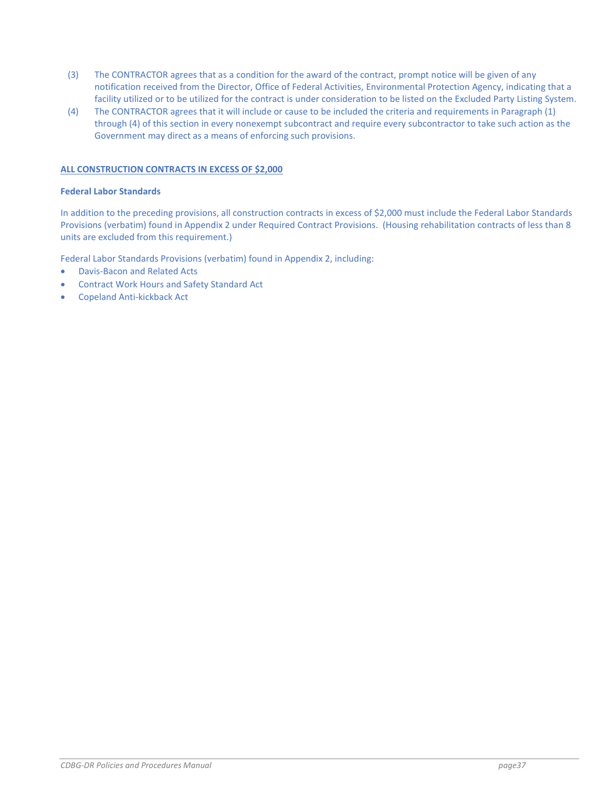- (3) The CONTRACTOR agrees that as a condition for the award of the contract, prompt notice will be given of any notification received from the Director, Office of Federal Activities, Environmental Protection Agency, indicating that a facility utilized or to be utilized for the contract is under consideration to be listed on the Excluded Party Listing System.
- (4) The CONTRACTOR agrees that it will include or cause to be included the criteria and requirements in Paragraph (1) through (4) of this section in every nonexempt subcontract and require every subcontractor to take such action as the Government may direct as a means of enforcing such provisions.

#### ALL CONSTRUCTION CONTRACTS IN EXCESS OF \$2,000

#### Federal Labor Standards

In addition to the preceding provisions, all construction contracts in excess of \$2,000 must include the Federal Labor Standards Provisions (verbatim) found in Appendix 2 under Required Contract Provisions. (Housing rehabilitation contracts of less than 8 units are excluded from this requirement.)

Federal Labor Standards Provisions (verbatim) found in Appendix 2, including:

- Davis-Bacon and Related Acts
- Contract Work Hours and Safety Standard Act
- Copeland Anti-kickback Act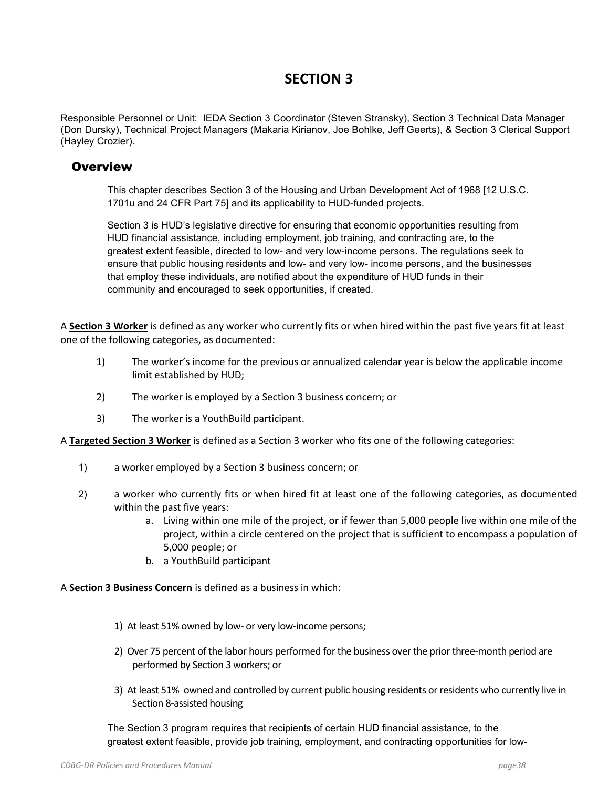# SECTION 3

Responsible Personnel or Unit: IEDA Section 3 Coordinator (Steven Stransky), Section 3 Technical Data Manager (Don Dursky), Technical Project Managers (Makaria Kirianov, Joe Bohlke, Jeff Geerts), & Section 3 Clerical Support (Hayley Crozier).

### **Overview**

This chapter describes Section 3 of the Housing and Urban Development Act of 1968 [12 U.S.C. 1701u and 24 CFR Part 75] and its applicability to HUD-funded projects.

Section 3 is HUD's legislative directive for ensuring that economic opportunities resulting from HUD financial assistance, including employment, job training, and contracting are, to the greatest extent feasible, directed to low- and very low-income persons. The regulations seek to ensure that public housing residents and low- and very low- income persons, and the businesses that employ these individuals, are notified about the expenditure of HUD funds in their community and encouraged to seek opportunities, if created.

A Section 3 Worker is defined as any worker who currently fits or when hired within the past five years fit at least one of the following categories, as documented:

- 1) The worker's income for the previous or annualized calendar year is below the applicable income limit established by HUD;
- 2) The worker is employed by a Section 3 business concern; or
- 3) The worker is a YouthBuild participant.

A Targeted Section 3 Worker is defined as a Section 3 worker who fits one of the following categories:

- 1) a worker employed by a Section 3 business concern; or
- 2) a worker who currently fits or when hired fit at least one of the following categories, as documented within the past five years:
	- a. Living within one mile of the project, or if fewer than 5,000 people live within one mile of the project, within a circle centered on the project that is sufficient to encompass a population of 5,000 people; or
	- b. a YouthBuild participant

A Section 3 Business Concern is defined as a business in which:

- 1) At least 51% owned by low- or very low-income persons;
- 2) Over 75 percent of the labor hours performed for the business over the prior three-month period are performed by Section 3 workers; or
- 3) At least 51% owned and controlled by current public housing residents or residents who currently live in Section 8-assisted housing

The Section 3 program requires that recipients of certain HUD financial assistance, to the greatest extent feasible, provide job training, employment, and contracting opportunities for low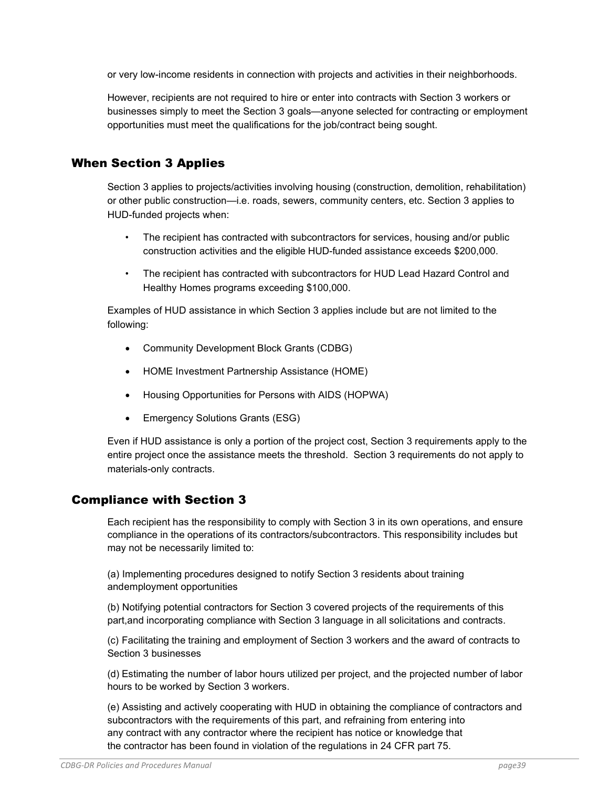or very low-income residents in connection with projects and activities in their neighborhoods.

However, recipients are not required to hire or enter into contracts with Section 3 workers or businesses simply to meet the Section 3 goals—anyone selected for contracting or employment opportunities must meet the qualifications for the job/contract being sought.

# When Section 3 Applies

Section 3 applies to projects/activities involving housing (construction, demolition, rehabilitation) or other public construction—i.e. roads, sewers, community centers, etc. Section 3 applies to HUD-funded projects when:

- The recipient has contracted with subcontractors for services, housing and/or public construction activities and the eligible HUD-funded assistance exceeds \$200,000.
- The recipient has contracted with subcontractors for HUD Lead Hazard Control and Healthy Homes programs exceeding \$100,000.

Examples of HUD assistance in which Section 3 applies include but are not limited to the following:

- Community Development Block Grants (CDBG)
- HOME Investment Partnership Assistance (HOME)
- Housing Opportunities for Persons with AIDS (HOPWA)
- Emergency Solutions Grants (ESG)

Even if HUD assistance is only a portion of the project cost, Section 3 requirements apply to the entire project once the assistance meets the threshold. Section 3 requirements do not apply to materials-only contracts.

## Compliance with Section 3

Each recipient has the responsibility to comply with Section 3 in its own operations, and ensure compliance in the operations of its contractors/subcontractors. This responsibility includes but may not be necessarily limited to:

(a) Implementing procedures designed to notify Section 3 residents about training and employment opportunities

(b) Notifying potential contractors for Section 3 covered projects of the requirements of this part, and incorporating compliance with Section 3 language in all solicitations and contracts.

(c) Facilitating the training and employment of Section 3 workers and the award of contracts to Section 3 businesses

(d) Estimating the number of labor hours utilized per project, and the projected number of labor hours to be worked by Section 3 workers.

(e) Assisting and actively cooperating with HUD in obtaining the compliance of contractors and subcontractors with the requirements of this part, and refraining from entering into any contract with any contractor where the recipient has notice or knowledge that the contractor has been found in violation of the regulations in 24 CFR part 75.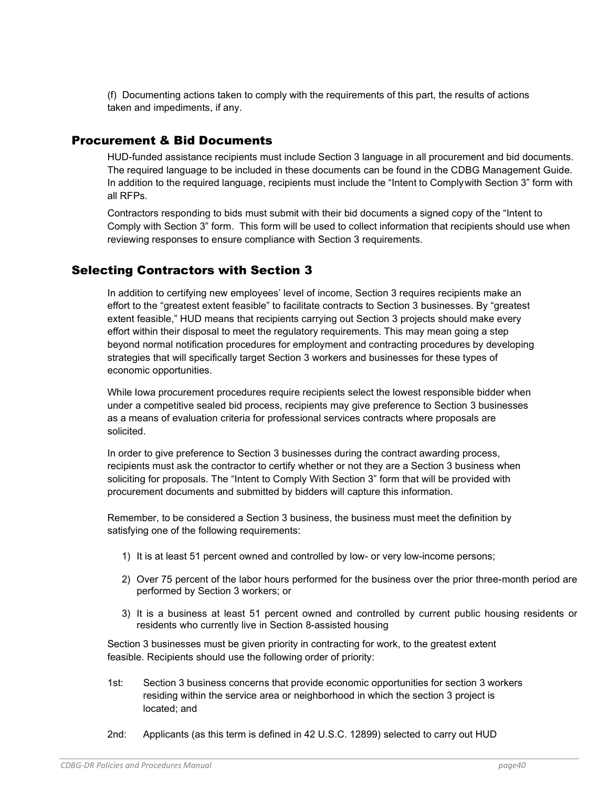(f) Documenting actions taken to comply with the requirements of this part, the results of actions taken and impediments, if any.

### Procurement & Bid Documents

HUD-funded assistance recipients must include Section 3 language in all procurement and bid documents. The required language to be included in these documents can be found in the CDBG Management Guide. In addition to the required language, recipients must include the "Intent to Comply with Section 3" form with all RFPs.

Contractors responding to bids must submit with their bid documents a signed copy of the "Intent to Comply with Section 3" form. This form will be used to collect information that recipients should use when reviewing responses to ensure compliance with Section 3 requirements.

# Selecting Contractors with Section 3

In addition to certifying new employees' level of income, Section 3 requires recipients make an effort to the "greatest extent feasible" to facilitate contracts to Section 3 businesses. By "greatest extent feasible," HUD means that recipients carrying out Section 3 projects should make every effort within their disposal to meet the regulatory requirements. This may mean going a step beyond normal notification procedures for employment and contracting procedures by developing strategies that will specifically target Section 3 workers and businesses for these types of economic opportunities.

While Iowa procurement procedures require recipients select the lowest responsible bidder when under a competitive sealed bid process, recipients may give preference to Section 3 businesses as a means of evaluation criteria for professional services contracts where proposals are solicited.

In order to give preference to Section 3 businesses during the contract awarding process, recipients must ask the contractor to certify whether or not they are a Section 3 business when soliciting for proposals. The "Intent to Comply With Section 3" form that will be provided with procurement documents and submitted by bidders will capture this information.

Remember, to be considered a Section 3 business, the business must meet the definition by satisfying one of the following requirements:

- 1) It is at least 51 percent owned and controlled by low- or very low-income persons;
- 2) Over 75 percent of the labor hours performed for the business over the prior three-month period are performed by Section 3 workers; or
- 3) It is a business at least 51 percent owned and controlled by current public housing residents or residents who currently live in Section 8-assisted housing

Section 3 businesses must be given priority in contracting for work, to the greatest extent feasible. Recipients should use the following order of priority:

- 1st: Section 3 business concerns that provide economic opportunities for section 3 workers residing within the service area or neighborhood in which the section 3 project is located; and
- 2nd: Applicants (as this term is defined in 42 U.S.C. 12899) selected to carry out HUD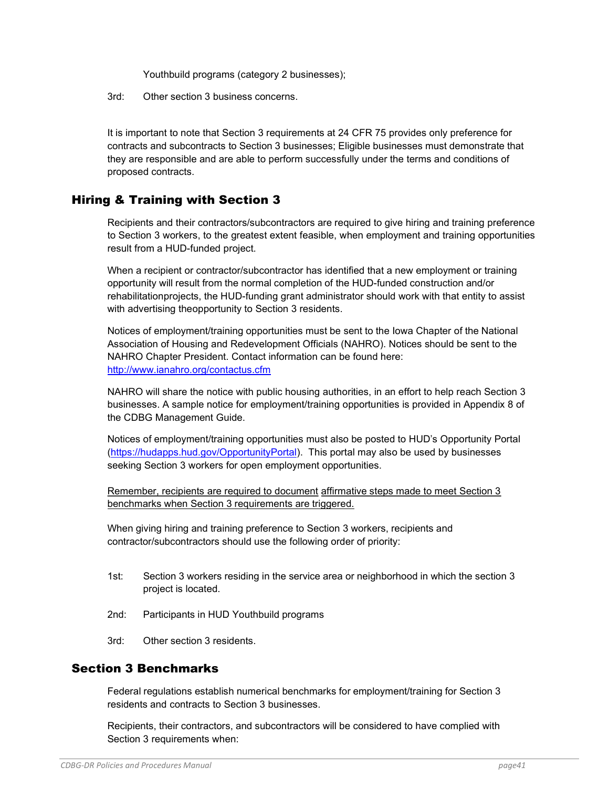Youthbuild programs (category 2 businesses);

3rd: Other section 3 business concerns.

It is important to note that Section 3 requirements at 24 CFR 75 provides only preference for contracts and subcontracts to Section 3 businesses; Eligible businesses must demonstrate that they are responsible and are able to perform successfully under the terms and conditions of proposed contracts.

## Hiring & Training with Section 3

Recipients and their contractors/subcontractors are required to give hiring and training preference to Section 3 workers, to the greatest extent feasible, when employment and training opportunities result from a HUD-funded project.

When a recipient or contractor/subcontractor has identified that a new employment or training opportunity will result from the normal completion of the HUD-funded construction and/or rehabilitation projects, the HUD-funding grant administrator should work with that entity to assist with advertising the opportunity to Section 3 residents.

Notices of employment/training opportunities must be sent to the Iowa Chapter of the National Association of Housing and Redevelopment Officials (NAHRO). Notices should be sent to the NAHRO Chapter President. Contact information can be found here: http://www.ianahro.org/contactus.cfm

NAHRO will share the notice with public housing authorities, in an effort to help reach Section 3 businesses. A sample notice for employment/training opportunities is provided in Appendix 8 of the CDBG Management Guide.

Notices of employment/training opportunities must also be posted to HUD's Opportunity Portal (https://hudapps.hud.gov/OpportunityPortal). This portal may also be used by businesses seeking Section 3 workers for open employment opportunities.

Remember, recipients are required to document affirmative steps made to meet Section 3 benchmarks when Section 3 requirements are triggered.

When giving hiring and training preference to Section 3 workers, recipients and contractor/subcontractors should use the following order of priority:

- 1st: Section 3 workers residing in the service area or neighborhood in which the section 3 project is located.
- 2nd: Participants in HUD Youthbuild programs
- 3rd: Other section 3 residents.

## Section 3 Benchmarks

Federal regulations establish numerical benchmarks for employment/training for Section 3 residents and contracts to Section 3 businesses.

Recipients, their contractors, and subcontractors will be considered to have complied with Section 3 requirements when: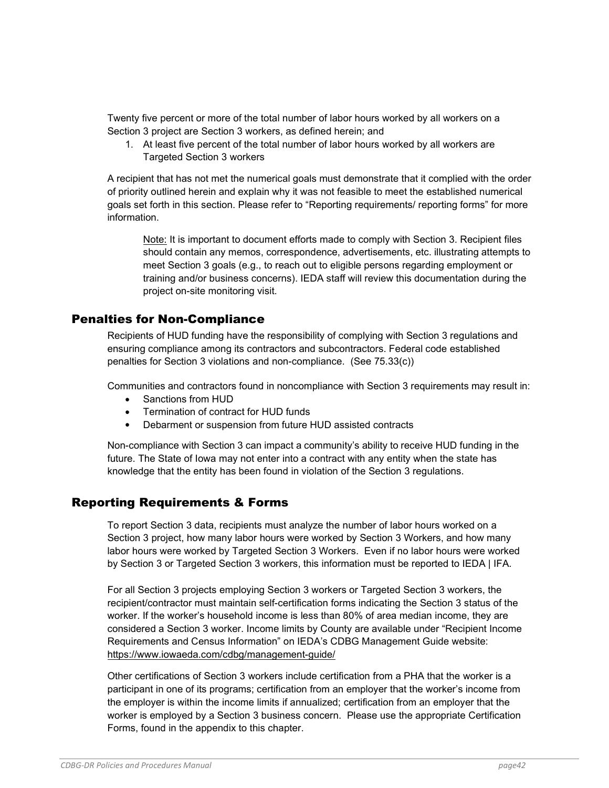Twenty five percent or more of the total number of labor hours worked by all workers on a Section 3 project are Section 3 workers, as defined herein; and

1. At least five percent of the total number of labor hours worked by all workers are Targeted Section 3 workers

A recipient that has not met the numerical goals must demonstrate that it complied with the order of priority outlined herein and explain why it was not feasible to meet the established numerical goals set forth in this section. Please refer to "Reporting requirements/ reporting forms" for more information.

Note: It is important to document efforts made to comply with Section 3. Recipient files should contain any memos, correspondence, advertisements, etc. illustrating attempts to meet Section 3 goals (e.g., to reach out to eligible persons regarding employment or training and/or business concerns). IEDA staff will review this documentation during the project on-site monitoring visit.

## Penalties for Non-Compliance

Recipients of HUD funding have the responsibility of complying with Section 3 regulations and ensuring compliance among its contractors and subcontractors. Federal code established penalties for Section 3 violations and non-compliance. (See 75.33(c))

Communities and contractors found in noncompliance with Section 3 requirements may result in:

- Sanctions from HUD
- Termination of contract for HUD funds
- Debarment or suspension from future HUD assisted contracts

Non-compliance with Section 3 can impact a community's ability to receive HUD funding in the future. The State of Iowa may not enter into a contract with any entity when the state has knowledge that the entity has been found in violation of the Section 3 regulations.

## Reporting Requirements & Forms

To report Section 3 data, recipients must analyze the number of labor hours worked on a Section 3 project, how many labor hours were worked by Section 3 Workers, and how many labor hours were worked by Targeted Section 3 Workers. Even if no labor hours were worked by Section 3 or Targeted Section 3 workers, this information must be reported to IEDA | IFA.

For all Section 3 projects employing Section 3 workers or Targeted Section 3 workers, the recipient/contractor must maintain self-certification forms indicating the Section 3 status of the worker. If the worker's household income is less than 80% of area median income, they are considered a Section 3 worker. Income limits by County are available under "Recipient Income Requirements and Census Information" on IEDA's CDBG Management Guide website: https://www.iowaeda.com/cdbg/management-guide/

Other certifications of Section 3 workers include certification from a PHA that the worker is a participant in one of its programs; certification from an employer that the worker's income from the employer is within the income limits if annualized; certification from an employer that the worker is employed by a Section 3 business concern. Please use the appropriate Certification Forms, found in the appendix to this chapter.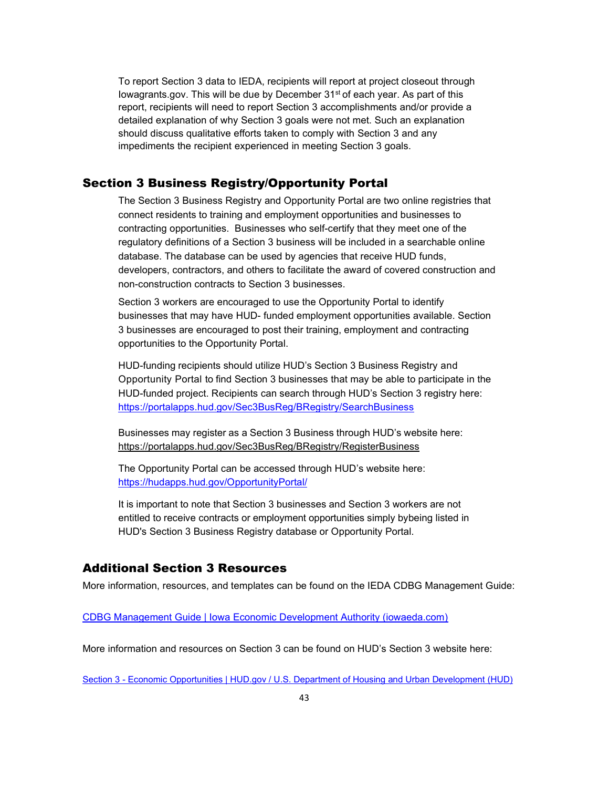To report Section 3 data to IEDA, recipients will report at project closeout through Iowagrants.gov. This will be due by December 31st of each year. As part of this report, recipients will need to report Section 3 accomplishments and/or provide a detailed explanation of why Section 3 goals were not met. Such an explanation should discuss qualitative efforts taken to comply with Section 3 and any impediments the recipient experienced in meeting Section 3 goals.

### Section 3 Business Registry/Opportunity Portal

The Section 3 Business Registry and Opportunity Portal are two online registries that connect residents to training and employment opportunities and businesses to contracting opportunities. Businesses who self-certify that they meet one of the regulatory definitions of a Section 3 business will be included in a searchable online database. The database can be used by agencies that receive HUD funds, developers, contractors, and others to facilitate the award of covered construction and non-construction contracts to Section 3 businesses.

Section 3 workers are encouraged to use the Opportunity Portal to identify businesses that may have HUD- funded employment opportunities available. Section 3 businesses are encouraged to post their training, employment and contracting opportunities to the Opportunity Portal.

HUD-funding recipients should utilize HUD's Section 3 Business Registry and Opportunity Portal to find Section 3 businesses that may be able to participate in the HUD-funded project. Recipients can search through HUD's Section 3 registry here: https://portalapps.hud.gov/Sec3BusReg/BRegistry/SearchBusiness

Businesses may register as a Section 3 Business through HUD's website here: https://portalapps.hud.gov/Sec3BusReg/BRegistry/RegisterBusiness

The Opportunity Portal can be accessed through HUD's website here: https://hudapps.hud.gov/OpportunityPortal/

It is important to note that Section 3 businesses and Section 3 workers are not entitled to receive contracts or employment opportunities simply by being listed in HUD's Section 3 Business Registry database or Opportunity Portal.

### Additional Section 3 Resources

More information, resources, and templates can be found on the IEDA CDBG Management Guide:

CDBG Management Guide | Iowa Economic Development Authority (iowaeda.com)

More information and resources on Section 3 can be found on HUD's Section 3 website here:

Section 3 - Economic Opportunities | HUD.gov / U.S. Department of Housing and Urban Development (HUD)